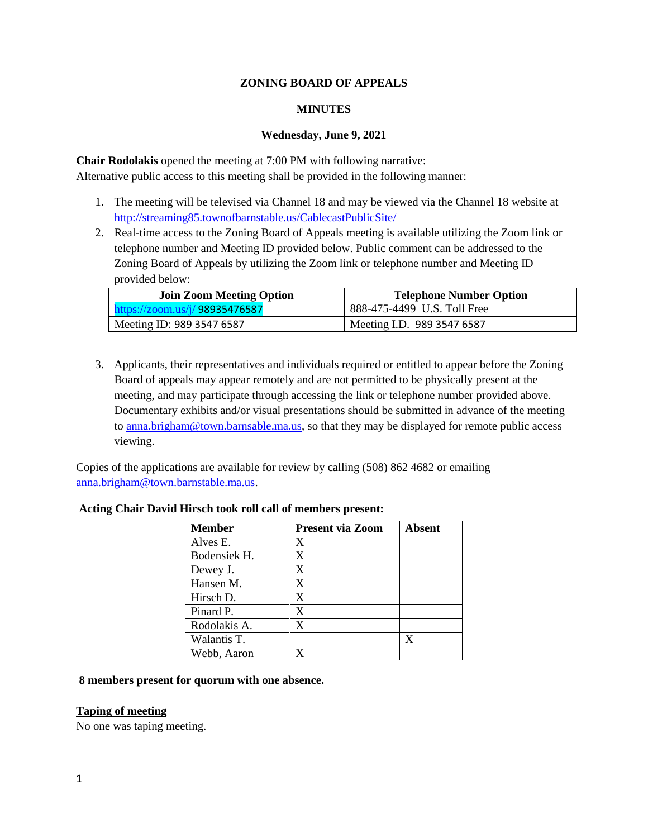### **ZONING BOARD OF APPEALS**

### **MINUTES**

### **Wednesday, June 9, 2021**

**Chair Rodolakis** opened the meeting at 7:00 PM with following narrative: Alternative public access to this meeting shall be provided in the following manner:

- 1. The meeting will be televised via Channel 18 and may be viewed via the Channel 18 website at http://streaming85.townofbarnstable.us/CablecastPublicSite/
- 2. Real-time access to the Zoning Board of Appeals meeting is available utilizing the Zoom link or telephone number and Meeting ID provided below. Public comment can be addressed to the Zoning Board of Appeals by utilizing the Zoom link or telephone number and Meeting ID provided below:

| <b>Join Zoom Meeting Option</b> | <b>Telephone Number Option</b> |
|---------------------------------|--------------------------------|
| https://zoom.us/j/ 98935476587  | 888-475-4499 U.S. Toll Free    |
| Meeting ID: 989 3547 6587       | Meeting I.D. 989 3547 6587     |

3. Applicants, their representatives and individuals required or entitled to appear before the Zoning Board of appeals may appear remotely and are not permitted to be physically present at the meeting, and may participate through accessing the link or telephone number provided above. Documentary exhibits and/or visual presentations should be submitted in advance of the meeting to anna.brigham@town.barnsable.ma.us, so that they may be displayed for remote public access viewing.

Copies of the applications are available for review by calling (508) 862 4682 or emailing anna.brigham@town.barnstable.ma.us.

| <b>Member</b> | <b>Present via Zoom</b> | <b>Absent</b> |
|---------------|-------------------------|---------------|
| Alves E.      | X                       |               |
| Bodensiek H.  | X                       |               |
| Dewey J.      | X                       |               |
| Hansen M.     | X                       |               |
| Hirsch D.     | X                       |               |
| Pinard P.     | X                       |               |
| Rodolakis A.  | X                       |               |
| Walantis T.   |                         | x             |
| Webb, Aaron   |                         |               |

## **Acting Chair David Hirsch took roll call of members present:**

### **8 members present for quorum with one absence.**

### **Taping of meeting**

No one was taping meeting.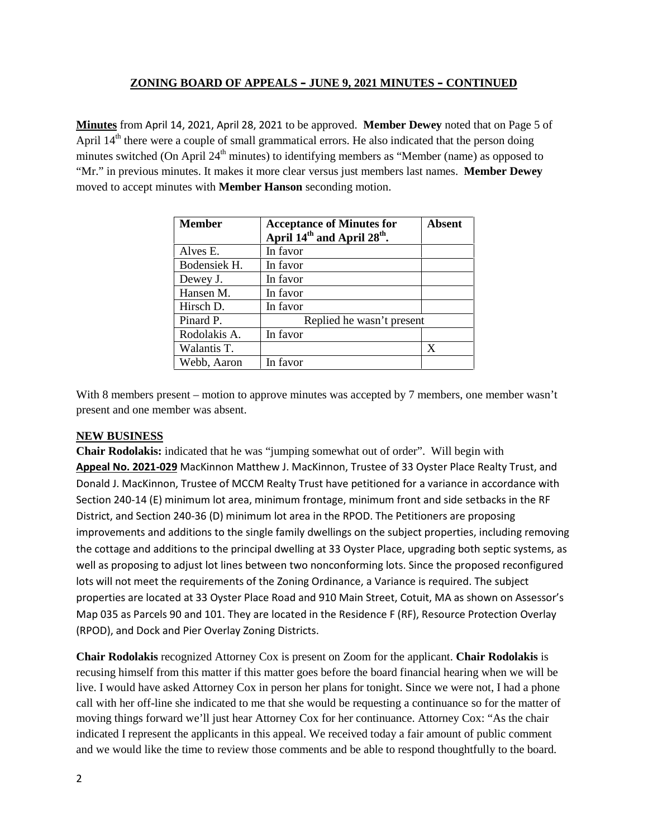**Minutes** from April 14, 2021, April 28, 2021 to be approved. **Member Dewey** noted that on Page 5 of April 14<sup>th</sup> there were a couple of small grammatical errors. He also indicated that the person doing minutes switched (On April  $24<sup>th</sup>$  minutes) to identifying members as "Member (name) as opposed to "Mr." in previous minutes. It makes it more clear versus just members last names. **Member Dewey** moved to accept minutes with **Member Hanson** seconding motion.

| <b>Member</b> | <b>Acceptance of Minutes for</b><br>April 14 <sup>th</sup> and April 28 <sup>th</sup> . | Absent |
|---------------|-----------------------------------------------------------------------------------------|--------|
| Alves E.      | In favor                                                                                |        |
| Bodensiek H.  | In favor                                                                                |        |
| Dewey J.      | In favor                                                                                |        |
| Hansen M.     | In favor                                                                                |        |
| Hirsch D.     | In favor                                                                                |        |
| Pinard P.     | Replied he wasn't present                                                               |        |
| Rodolakis A.  | In favor                                                                                |        |
| Walantis T.   |                                                                                         | X      |
| Webb, Aaron   | In favor                                                                                |        |

With 8 members present – motion to approve minutes was accepted by 7 members, one member wasn't present and one member was absent.

# **NEW BUSINESS**

**Chair Rodolakis:** indicated that he was "jumping somewhat out of order". Will begin with **Appeal No. 2021-029** MacKinnon Matthew J. MacKinnon, Trustee of 33 Oyster Place Realty Trust, and Donald J. MacKinnon, Trustee of MCCM Realty Trust have petitioned for a variance in accordance with Section 240-14 (E) minimum lot area, minimum frontage, minimum front and side setbacks in the RF District, and Section 240-36 (D) minimum lot area in the RPOD. The Petitioners are proposing improvements and additions to the single family dwellings on the subject properties, including removing the cottage and additions to the principal dwelling at 33 Oyster Place, upgrading both septic systems, as well as proposing to adjust lot lines between two nonconforming lots. Since the proposed reconfigured lots will not meet the requirements of the Zoning Ordinance, a Variance is required. The subject properties are located at 33 Oyster Place Road and 910 Main Street, Cotuit, MA as shown on Assessor's Map 035 as Parcels 90 and 101. They are located in the Residence F (RF), Resource Protection Overlay (RPOD), and Dock and Pier Overlay Zoning Districts.

**Chair Rodolakis** recognized Attorney Cox is present on Zoom for the applicant. **Chair Rodolakis** is recusing himself from this matter if this matter goes before the board financial hearing when we will be live. I would have asked Attorney Cox in person her plans for tonight. Since we were not, I had a phone call with her off-line she indicated to me that she would be requesting a continuance so for the matter of moving things forward we'll just hear Attorney Cox for her continuance. Attorney Cox: "As the chair indicated I represent the applicants in this appeal. We received today a fair amount of public comment and we would like the time to review those comments and be able to respond thoughtfully to the board.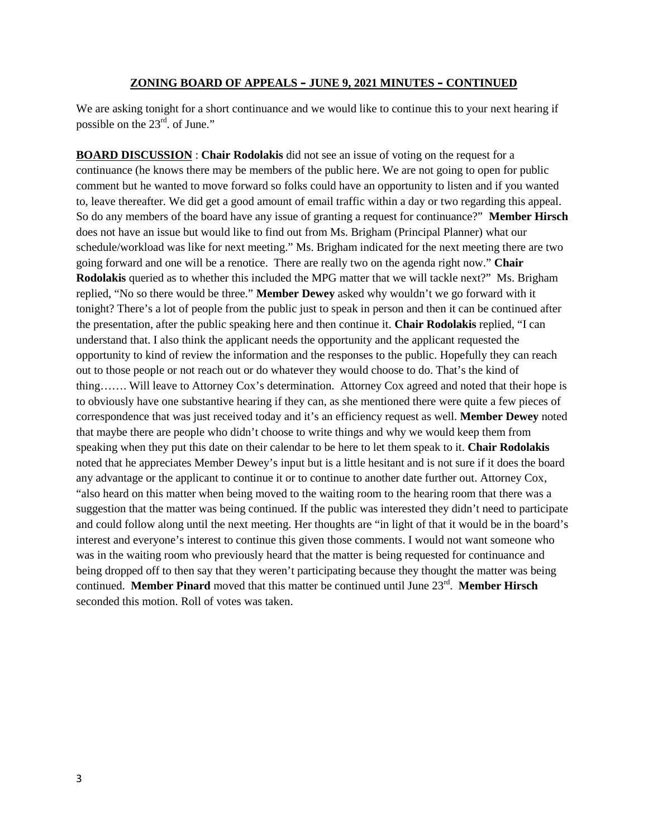We are asking tonight for a short continuance and we would like to continue this to your next hearing if possible on the 23rd. of June."

**BOARD DISCUSSION** : **Chair Rodolakis** did not see an issue of voting on the request for a continuance (he knows there may be members of the public here. We are not going to open for public comment but he wanted to move forward so folks could have an opportunity to listen and if you wanted to, leave thereafter. We did get a good amount of email traffic within a day or two regarding this appeal. So do any members of the board have any issue of granting a request for continuance?" **Member Hirsch** does not have an issue but would like to find out from Ms. Brigham (Principal Planner) what our schedule/workload was like for next meeting." Ms. Brigham indicated for the next meeting there are two going forward and one will be a renotice. There are really two on the agenda right now." **Chair Rodolakis** queried as to whether this included the MPG matter that we will tackle next?" Ms. Brigham replied, "No so there would be three." **Member Dewey** asked why wouldn't we go forward with it tonight? There's a lot of people from the public just to speak in person and then it can be continued after the presentation, after the public speaking here and then continue it. **Chair Rodolakis** replied, "I can understand that. I also think the applicant needs the opportunity and the applicant requested the opportunity to kind of review the information and the responses to the public. Hopefully they can reach out to those people or not reach out or do whatever they would choose to do. That's the kind of thing……. Will leave to Attorney Cox's determination. Attorney Cox agreed and noted that their hope is to obviously have one substantive hearing if they can, as she mentioned there were quite a few pieces of correspondence that was just received today and it's an efficiency request as well. **Member Dewey** noted that maybe there are people who didn't choose to write things and why we would keep them from speaking when they put this date on their calendar to be here to let them speak to it. **Chair Rodolakis** noted that he appreciates Member Dewey's input but is a little hesitant and is not sure if it does the board any advantage or the applicant to continue it or to continue to another date further out. Attorney Cox, "also heard on this matter when being moved to the waiting room to the hearing room that there was a suggestion that the matter was being continued. If the public was interested they didn't need to participate and could follow along until the next meeting. Her thoughts are "in light of that it would be in the board's interest and everyone's interest to continue this given those comments. I would not want someone who was in the waiting room who previously heard that the matter is being requested for continuance and being dropped off to then say that they weren't participating because they thought the matter was being continued. **Member Pinard** moved that this matter be continued until June 23<sup>rd</sup>. **Member Hirsch** seconded this motion. Roll of votes was taken.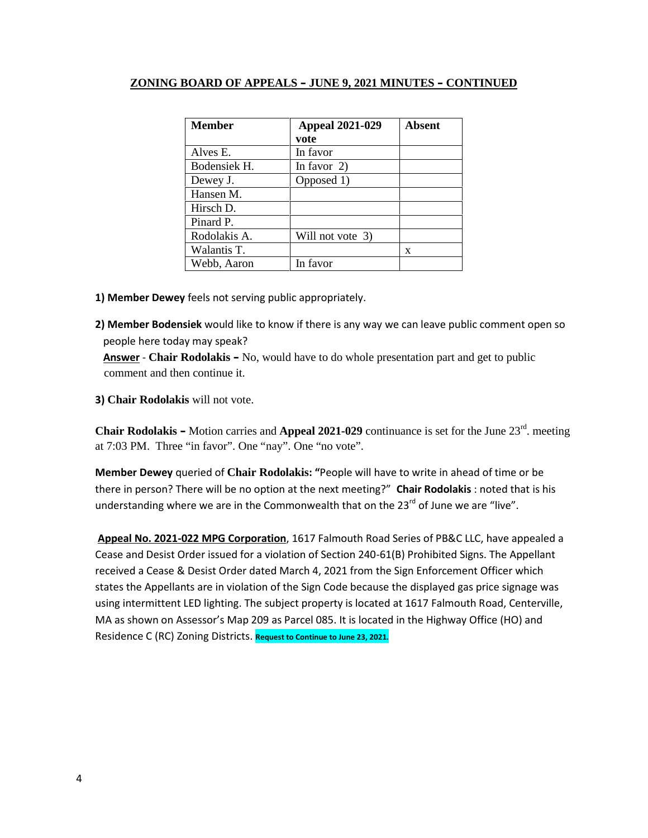| <b>Member</b> | <b>Appeal 2021-029</b><br>vote | <b>Absent</b> |
|---------------|--------------------------------|---------------|
| Alves E.      | In favor                       |               |
| Bodensiek H.  | In favor $2)$                  |               |
| Dewey J.      | Opposed 1)                     |               |
| Hansen M.     |                                |               |
| Hirsch D.     |                                |               |
| Pinard P.     |                                |               |
| Rodolakis A.  | Will not vote 3)               |               |
| Walantis T.   |                                | X             |
| Webb, Aaron   | In favor                       |               |

- **1) Member Dewey** feels not serving public appropriately.
- **2) Member Bodensiek** would like to know if there is any way we can leave public comment open so people here today may speak?

**Answer** - **Chair Rodolakis –** No, would have to do whole presentation part and get to public comment and then continue it.

**3) Chair Rodolakis** will not vote.

**Chair Rodolakis** – Motion carries and **Appeal 2021-029** continuance is set for the June 23<sup>rd</sup>. meeting at 7:03 PM. Three "in favor". One "nay". One "no vote".

**Member Dewey** queried of **Chair Rodolakis: "**People will have to write in ahead of time or be there in person? There will be no option at the next meeting?" **Chair Rodolakis** : noted that is his understanding where we are in the Commonwealth that on the  $23^{rd}$  of June we are "live".

**Appeal No. 2021-022 MPG Corporation**, 1617 Falmouth Road Series of PB&C LLC, have appealed a Cease and Desist Order issued for a violation of Section 240-61(B) Prohibited Signs. The Appellant received a Cease & Desist Order dated March 4, 2021 from the Sign Enforcement Officer which states the Appellants are in violation of the Sign Code because the displayed gas price signage was using intermittent LED lighting. The subject property is located at 1617 Falmouth Road, Centerville, MA as shown on Assessor's Map 209 as Parcel 085. It is located in the Highway Office (HO) and Residence C (RC) Zoning Districts. **Request to Continue to June 23, 2021.**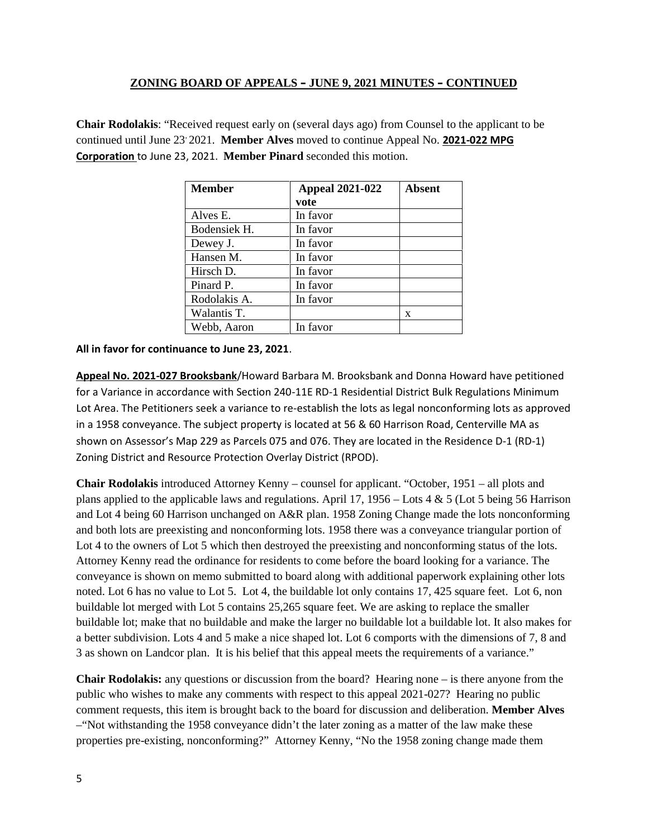**Chair Rodolakis**: "Received request early on (several days ago) from Counsel to the applicant to be continued until June 23, 2021. **Member Alves** moved to continue Appeal No. **2021-022 MPG Corporation** to June 23, 2021. **Member Pinard** seconded this motion.

| <b>Member</b> | <b>Appeal 2021-022</b> | Absent |
|---------------|------------------------|--------|
|               | vote                   |        |
| Alves E.      | In favor               |        |
| Bodensiek H.  | In favor               |        |
| Dewey J.      | In favor               |        |
| Hansen M.     | In favor               |        |
| Hirsch D.     | In favor               |        |
| Pinard P.     | In favor               |        |
| Rodolakis A.  | In favor               |        |
| Walantis T.   |                        | X      |
| Webb, Aaron   | In favor               |        |

**All in favor for continuance to June 23, 2021**.

**Appeal No. 2021-027 Brooksbank**/Howard Barbara M. Brooksbank and Donna Howard have petitioned for a Variance in accordance with Section 240-11E RD-1 Residential District Bulk Regulations Minimum Lot Area. The Petitioners seek a variance to re-establish the lots as legal nonconforming lots as approved in a 1958 conveyance. The subject property is located at 56 & 60 Harrison Road, Centerville MA as shown on Assessor's Map 229 as Parcels 075 and 076. They are located in the Residence D-1 (RD-1) Zoning District and Resource Protection Overlay District (RPOD).

**Chair Rodolakis** introduced Attorney Kenny – counsel for applicant. "October, 1951 – all plots and plans applied to the applicable laws and regulations. April 17, 1956 – Lots 4 & 5 (Lot 5 being 56 Harrison and Lot 4 being 60 Harrison unchanged on A&R plan. 1958 Zoning Change made the lots nonconforming and both lots are preexisting and nonconforming lots. 1958 there was a conveyance triangular portion of Lot 4 to the owners of Lot 5 which then destroyed the preexisting and nonconforming status of the lots. Attorney Kenny read the ordinance for residents to come before the board looking for a variance. The conveyance is shown on memo submitted to board along with additional paperwork explaining other lots noted. Lot 6 has no value to Lot 5. Lot 4, the buildable lot only contains 17, 425 square feet. Lot 6, non buildable lot merged with Lot 5 contains 25,265 square feet. We are asking to replace the smaller buildable lot; make that no buildable and make the larger no buildable lot a buildable lot. It also makes for a better subdivision. Lots 4 and 5 make a nice shaped lot. Lot 6 comports with the dimensions of 7, 8 and 3 as shown on Landcor plan. It is his belief that this appeal meets the requirements of a variance."

**Chair Rodolakis:** any questions or discussion from the board? Hearing none – is there anyone from the public who wishes to make any comments with respect to this appeal 2021-027? Hearing no public comment requests, this item is brought back to the board for discussion and deliberation. **Member Alves** –"Not withstanding the 1958 conveyance didn't the later zoning as a matter of the law make these properties pre-existing, nonconforming?" Attorney Kenny, "No the 1958 zoning change made them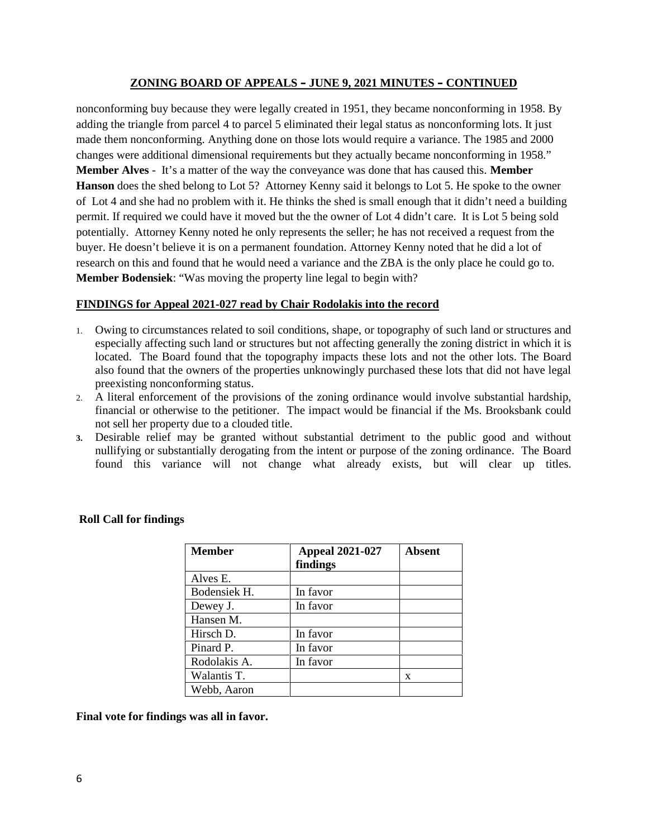nonconforming buy because they were legally created in 1951, they became nonconforming in 1958. By adding the triangle from parcel 4 to parcel 5 eliminated their legal status as nonconforming lots. It just made them nonconforming. Anything done on those lots would require a variance. The 1985 and 2000 changes were additional dimensional requirements but they actually became nonconforming in 1958." **Member Alves** - It's a matter of the way the conveyance was done that has caused this. **Member Hanson** does the shed belong to Lot 5? Attorney Kenny said it belongs to Lot 5. He spoke to the owner of Lot 4 and she had no problem with it. He thinks the shed is small enough that it didn't need a building permit. If required we could have it moved but the the owner of Lot 4 didn't care. It is Lot 5 being sold potentially. Attorney Kenny noted he only represents the seller; he has not received a request from the buyer. He doesn't believe it is on a permanent foundation. Attorney Kenny noted that he did a lot of research on this and found that he would need a variance and the ZBA is the only place he could go to. **Member Bodensiek**: "Was moving the property line legal to begin with?

### **FINDINGS for Appeal 2021-027 read by Chair Rodolakis into the record**

- 1. Owing to circumstances related to soil conditions, shape, or topography of such land or structures and especially affecting such land or structures but not affecting generally the zoning district in which it is located. The Board found that the topography impacts these lots and not the other lots. The Board also found that the owners of the properties unknowingly purchased these lots that did not have legal preexisting nonconforming status.
- 2. A literal enforcement of the provisions of the zoning ordinance would involve substantial hardship, financial or otherwise to the petitioner. The impact would be financial if the Ms. Brooksbank could not sell her property due to a clouded title.
- **3.** Desirable relief may be granted without substantial detriment to the public good and without nullifying or substantially derogating from the intent or purpose of the zoning ordinance. The Board found this variance will not change what already exists, but will clear up titles.

| <b>Member</b> | <b>Appeal 2021-027</b><br>findings | <b>Absent</b> |
|---------------|------------------------------------|---------------|
| Alves E.      |                                    |               |
| Bodensiek H.  | In favor                           |               |
| Dewey J.      | In favor                           |               |
| Hansen M.     |                                    |               |
| Hirsch D.     | In favor                           |               |
| Pinard P.     | In favor                           |               |
| Rodolakis A.  | In favor                           |               |
| Walantis T.   |                                    | X             |
| Webb, Aaron   |                                    |               |

### **Roll Call for findings**

**Final vote for findings was all in favor.**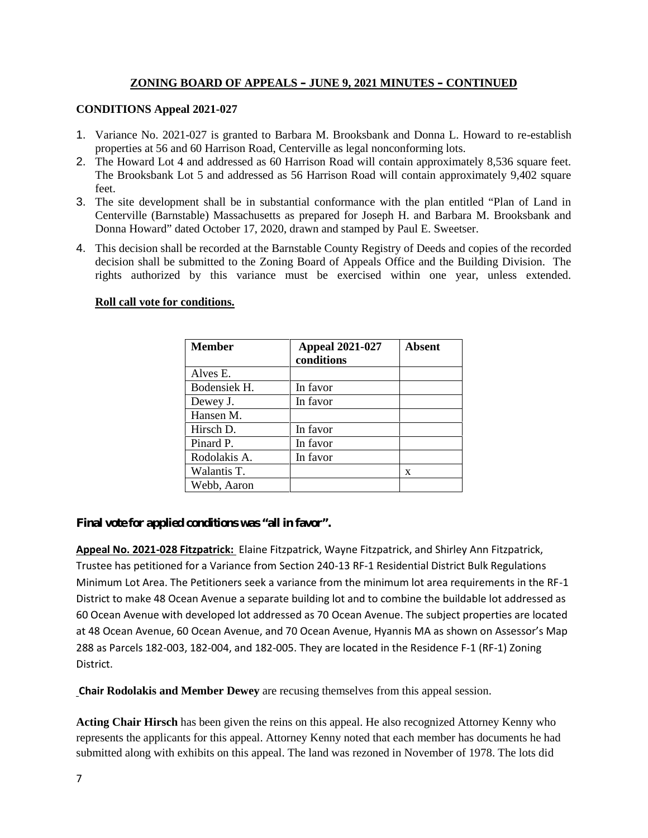# **CONDITIONS Appeal 2021-027**

- 1. Variance No. 2021-027 is granted to Barbara M. Brooksbank and Donna L. Howard to re-establish properties at 56 and 60 Harrison Road, Centerville as legal nonconforming lots.
- 2. The Howard Lot 4 and addressed as 60 Harrison Road will contain approximately 8,536 square feet. The Brooksbank Lot 5 and addressed as 56 Harrison Road will contain approximately 9,402 square feet.
- 3. The site development shall be in substantial conformance with the plan entitled "Plan of Land in Centerville (Barnstable) Massachusetts as prepared for Joseph H. and Barbara M. Brooksbank and Donna Howard" dated October 17, 2020, drawn and stamped by Paul E. Sweetser.
- 4. This decision shall be recorded at the Barnstable County Registry of Deeds and copies of the recorded decision shall be submitted to the Zoning Board of Appeals Office and the Building Division. The rights authorized by this variance must be exercised within one year, unless extended.

# **Roll call vote for conditions.**

| <b>Member</b> | <b>Appeal 2021-027</b><br>conditions | Absent |
|---------------|--------------------------------------|--------|
| Alves E.      |                                      |        |
| Bodensiek H.  | In favor                             |        |
| Dewey J.      | In favor                             |        |
| Hansen M.     |                                      |        |
| Hirsch D.     | In favor                             |        |
| Pinard P.     | In favor                             |        |
| Rodolakis A.  | In favor                             |        |
| Walantis T.   |                                      | X      |
| Webb, Aaron   |                                      |        |

**Final vote for applied conditions was "all in favor".**

**Appeal No. 2021-028 Fitzpatrick:** Elaine Fitzpatrick, Wayne Fitzpatrick, and Shirley Ann Fitzpatrick, Trustee has petitioned for a Variance from Section 240-13 RF-1 Residential District Bulk Regulations Minimum Lot Area. The Petitioners seek a variance from the minimum lot area requirements in the RF-1 District to make 48 Ocean Avenue a separate building lot and to combine the buildable lot addressed as 60 Ocean Avenue with developed lot addressed as 70 Ocean Avenue. The subject properties are located at 48 Ocean Avenue, 60 Ocean Avenue, and 70 Ocean Avenue, Hyannis MA as shown on Assessor's Map 288 as Parcels 182-003, 182-004, and 182-005. They are located in the Residence F-1 (RF-1) Zoning District.

**Chair Rodolakis and Member Dewey** are recusing themselves from this appeal session.

**Acting Chair Hirsch** has been given the reins on this appeal. He also recognized Attorney Kenny who represents the applicants for this appeal. Attorney Kenny noted that each member has documents he had submitted along with exhibits on this appeal. The land was rezoned in November of 1978. The lots did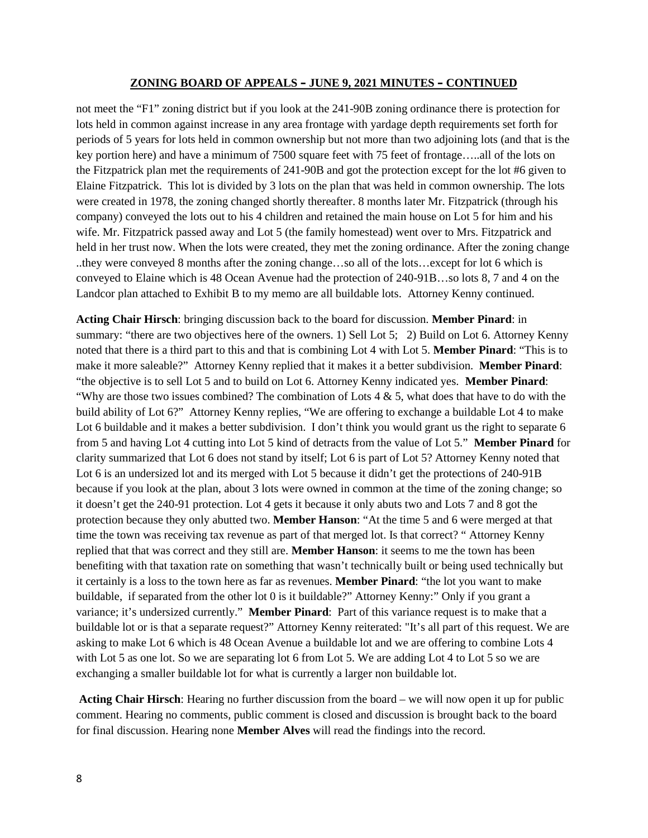not meet the "F1" zoning district but if you look at the 241-90B zoning ordinance there is protection for lots held in common against increase in any area frontage with yardage depth requirements set forth for periods of 5 years for lots held in common ownership but not more than two adjoining lots (and that is the key portion here) and have a minimum of 7500 square feet with 75 feet of frontage…..all of the lots on the Fitzpatrick plan met the requirements of 241-90B and got the protection except for the lot #6 given to Elaine Fitzpatrick. This lot is divided by 3 lots on the plan that was held in common ownership. The lots were created in 1978, the zoning changed shortly thereafter. 8 months later Mr. Fitzpatrick (through his company) conveyed the lots out to his 4 children and retained the main house on Lot 5 for him and his wife. Mr. Fitzpatrick passed away and Lot 5 (the family homestead) went over to Mrs. Fitzpatrick and held in her trust now. When the lots were created, they met the zoning ordinance. After the zoning change ..they were conveyed 8 months after the zoning change…so all of the lots…except for lot 6 which is conveyed to Elaine which is 48 Ocean Avenue had the protection of 240-91B…so lots 8, 7 and 4 on the Landcor plan attached to Exhibit B to my memo are all buildable lots. Attorney Kenny continued.

**Acting Chair Hirsch**: bringing discussion back to the board for discussion. **Member Pinard**: in summary: "there are two objectives here of the owners. 1) Sell Lot 5; 2) Build on Lot 6. Attorney Kenny noted that there is a third part to this and that is combining Lot 4 with Lot 5. **Member Pinard**: "This is to make it more saleable?" Attorney Kenny replied that it makes it a better subdivision. **Member Pinard**: "the objective is to sell Lot 5 and to build on Lot 6. Attorney Kenny indicated yes. **Member Pinard**: "Why are those two issues combined? The combination of Lots  $4 \& 5$ , what does that have to do with the build ability of Lot 6?" Attorney Kenny replies, "We are offering to exchange a buildable Lot 4 to make Lot 6 buildable and it makes a better subdivision. I don't think you would grant us the right to separate 6 from 5 and having Lot 4 cutting into Lot 5 kind of detracts from the value of Lot 5." **Member Pinard** for clarity summarized that Lot 6 does not stand by itself; Lot 6 is part of Lot 5? Attorney Kenny noted that Lot 6 is an undersized lot and its merged with Lot 5 because it didn't get the protections of 240-91B because if you look at the plan, about 3 lots were owned in common at the time of the zoning change; so it doesn't get the 240-91 protection. Lot 4 gets it because it only abuts two and Lots 7 and 8 got the protection because they only abutted two. **Member Hanson**: "At the time 5 and 6 were merged at that time the town was receiving tax revenue as part of that merged lot. Is that correct? " Attorney Kenny replied that that was correct and they still are. **Member Hanson**: it seems to me the town has been benefiting with that taxation rate on something that wasn't technically built or being used technically but it certainly is a loss to the town here as far as revenues. **Member Pinard**: "the lot you want to make buildable, if separated from the other lot 0 is it buildable?" Attorney Kenny:" Only if you grant a variance; it's undersized currently." **Member Pinard**: Part of this variance request is to make that a buildable lot or is that a separate request?" Attorney Kenny reiterated: "It's all part of this request. We are asking to make Lot 6 which is 48 Ocean Avenue a buildable lot and we are offering to combine Lots 4 with Lot 5 as one lot. So we are separating lot 6 from Lot 5. We are adding Lot 4 to Lot 5 so we are exchanging a smaller buildable lot for what is currently a larger non buildable lot.

**Acting Chair Hirsch**: Hearing no further discussion from the board – we will now open it up for public comment. Hearing no comments, public comment is closed and discussion is brought back to the board for final discussion. Hearing none **Member Alves** will read the findings into the record.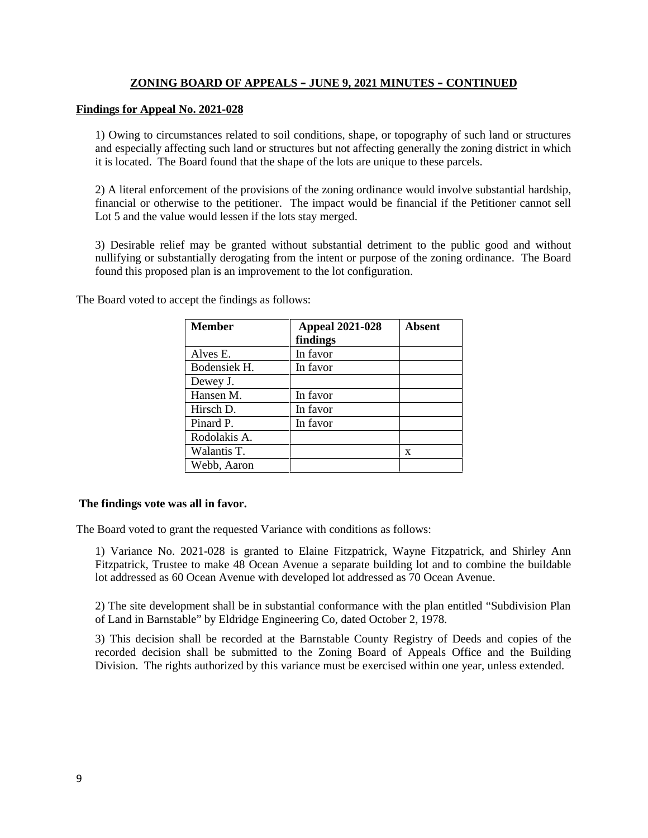### **Findings for Appeal No. 2021-028**

1) Owing to circumstances related to soil conditions, shape, or topography of such land or structures and especially affecting such land or structures but not affecting generally the zoning district in which it is located. The Board found that the shape of the lots are unique to these parcels.

2) A literal enforcement of the provisions of the zoning ordinance would involve substantial hardship, financial or otherwise to the petitioner. The impact would be financial if the Petitioner cannot sell Lot 5 and the value would lessen if the lots stay merged.

3) Desirable relief may be granted without substantial detriment to the public good and without nullifying or substantially derogating from the intent or purpose of the zoning ordinance. The Board found this proposed plan is an improvement to the lot configuration.

| <b>Member</b> | <b>Appeal 2021-028</b><br>findings | <b>Absent</b> |
|---------------|------------------------------------|---------------|
| Alves E.      | In favor                           |               |
| Bodensiek H.  | In favor                           |               |
| Dewey J.      |                                    |               |
| Hansen M.     | In favor                           |               |
| Hirsch D.     | In favor                           |               |
| Pinard P.     | In favor                           |               |
| Rodolakis A.  |                                    |               |
| Walantis T.   |                                    | X             |
| Webb, Aaron   |                                    |               |

The Board voted to accept the findings as follows:

## **The findings vote was all in favor.**

The Board voted to grant the requested Variance with conditions as follows:

1) Variance No. 2021-028 is granted to Elaine Fitzpatrick, Wayne Fitzpatrick, and Shirley Ann Fitzpatrick, Trustee to make 48 Ocean Avenue a separate building lot and to combine the buildable lot addressed as 60 Ocean Avenue with developed lot addressed as 70 Ocean Avenue.

2) The site development shall be in substantial conformance with the plan entitled "Subdivision Plan of Land in Barnstable" by Eldridge Engineering Co, dated October 2, 1978.

3) This decision shall be recorded at the Barnstable County Registry of Deeds and copies of the recorded decision shall be submitted to the Zoning Board of Appeals Office and the Building Division. The rights authorized by this variance must be exercised within one year, unless extended.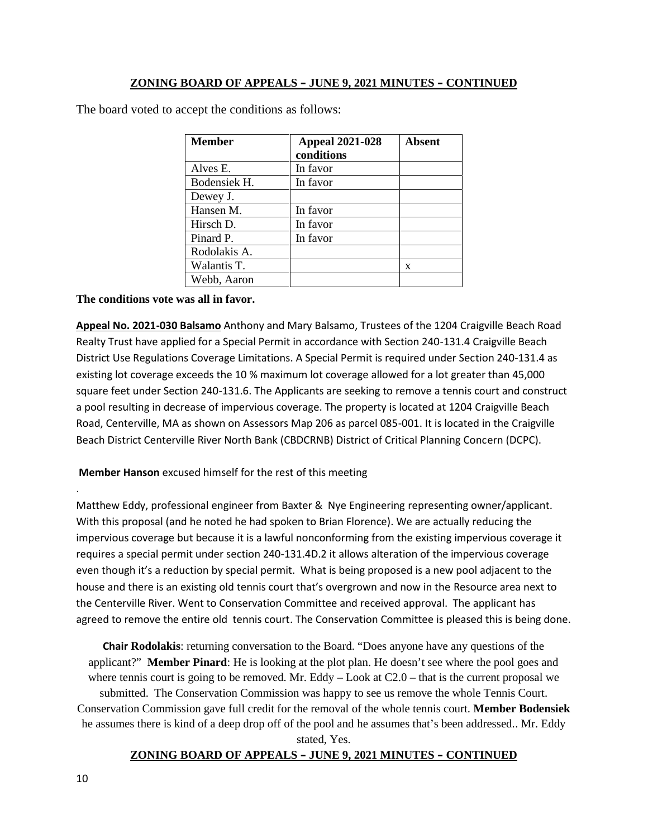The board voted to accept the conditions as follows:

| <b>Member</b> | <b>Appeal 2021-028</b><br>conditions | <b>Absent</b> |
|---------------|--------------------------------------|---------------|
| Alves E.      | In favor                             |               |
| Bodensiek H.  | In favor                             |               |
| Dewey J.      |                                      |               |
| Hansen M.     | In favor                             |               |
| Hirsch D.     | In favor                             |               |
| Pinard P.     | In favor                             |               |
| Rodolakis A.  |                                      |               |
| Walantis T.   |                                      | X             |
| Webb, Aaron   |                                      |               |

### **The conditions vote was all in favor.**

**Appeal No. 2021-030 Balsamo** Anthony and Mary Balsamo, Trustees of the 1204 Craigville Beach Road Realty Trust have applied for a Special Permit in accordance with Section 240-131.4 Craigville Beach District Use Regulations Coverage Limitations. A Special Permit is required under Section 240-131.4 as existing lot coverage exceeds the 10 % maximum lot coverage allowed for a lot greater than 45,000 square feet under Section 240-131.6. The Applicants are seeking to remove a tennis court and construct a pool resulting in decrease of impervious coverage. The property is located at 1204 Craigville Beach Road, Centerville, MA as shown on Assessors Map 206 as parcel 085-001. It is located in the Craigville Beach District Centerville River North Bank (CBDCRNB) District of Critical Planning Concern (DCPC).

## **Member Hanson** excused himself for the rest of this meeting

.Matthew Eddy, professional engineer from Baxter & Nye Engineering representing owner/applicant. With this proposal (and he noted he had spoken to Brian Florence). We are actually reducing the impervious coverage but because it is a lawful nonconforming from the existing impervious coverage it requires a special permit under section 240-131.4D.2 it allows alteration of the impervious coverage even though it's a reduction by special permit. What is being proposed is a new pool adjacent to the house and there is an existing old tennis court that's overgrown and now in the Resource area next to the Centerville River. Went to Conservation Committee and received approval. The applicant has agreed to remove the entire old tennis court. The Conservation Committee is pleased this is being done.

**Chair Rodolakis**: returning conversation to the Board. "Does anyone have any questions of the applicant?" **Member Pinard**: He is looking at the plot plan. He doesn't see where the pool goes and where tennis court is going to be removed. Mr. Eddy  $-$  Look at C2.0  $-$  that is the current proposal we submitted. The Conservation Commission was happy to see us remove the whole Tennis Court. Conservation Commission gave full credit for the removal of the whole tennis court. **Member Bodensiek** he assumes there is kind of a deep drop off of the pool and he assumes that's been addressed.. Mr. Eddy stated, Yes.

## **ZONING BOARD OF APPEALS – JUNE 9, 2021 MINUTES – CONTINUED**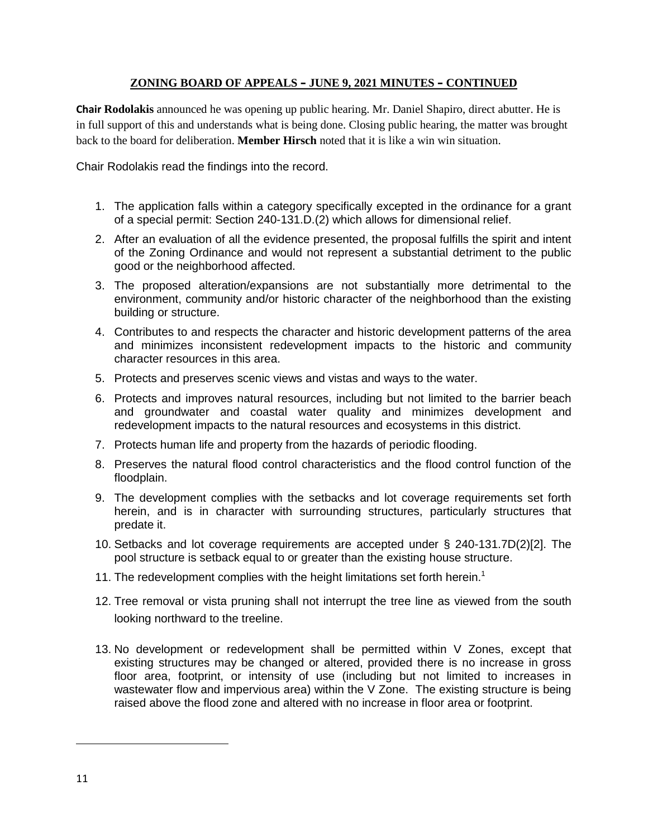**Chair Rodolakis** announced he was opening up public hearing. Mr. Daniel Shapiro, direct abutter. He is in full support of this and understands what is being done. Closing public hearing, the matter was brought back to the board for deliberation. **Member Hirsch** noted that it is like a win win situation.

Chair Rodolakis read the findings into the record.

- 1. The application falls within a category specifically excepted in the ordinance for a grant of a special permit: Section 240-131.D.(2) which allows for dimensional relief.
- 2. After an evaluation of all the evidence presented, the proposal fulfills the spirit and intent of the Zoning Ordinance and would not represent a substantial detriment to the public good or the neighborhood affected.
- 3. The proposed alteration/expansions are not substantially more detrimental to the environment, community and/or historic character of the neighborhood than the existing building or structure.
- 4. Contributes to and respects the character and historic development patterns of the area and minimizes inconsistent redevelopment impacts to the historic and community character resources in this area.
- 5. Protects and preserves scenic views and vistas and ways to the water.
- 6. Protects and improves natural resources, including but not limited to the barrier beach and groundwater and coastal water quality and minimizes development and redevelopment impacts to the natural resources and ecosystems in this district.
- 7. Protects human life and property from the hazards of periodic flooding.
- 8. Preserves the natural flood control characteristics and the flood control function of the floodplain.
- 9. The development complies with the setbacks and lot coverage requirements set forth herein, and is in character with surrounding structures, particularly structures that predate it.
- 10. Setbacks and lot coverage requirements are accepted under § 240-131.7D(2)[2]. The pool structure is setback equal to or greater than the existing house structure.
- 11. The redevelopment complies with the height limitations set forth herein.<sup>1</sup>
- 12. Tree removal or vista pruning shall not interrupt the tree line as viewed from the south looking northward to the treeline.
- 13. No development or redevelopment shall be permitted within V Zones, except that existing structures may be changed or altered, provided there is no increase in gross floor area, footprint, or intensity of use (including but not limited to increases in wastewater flow and impervious area) within the V Zone. The existing structure is being raised above the flood zone and altered with no increase in floor area or footprint.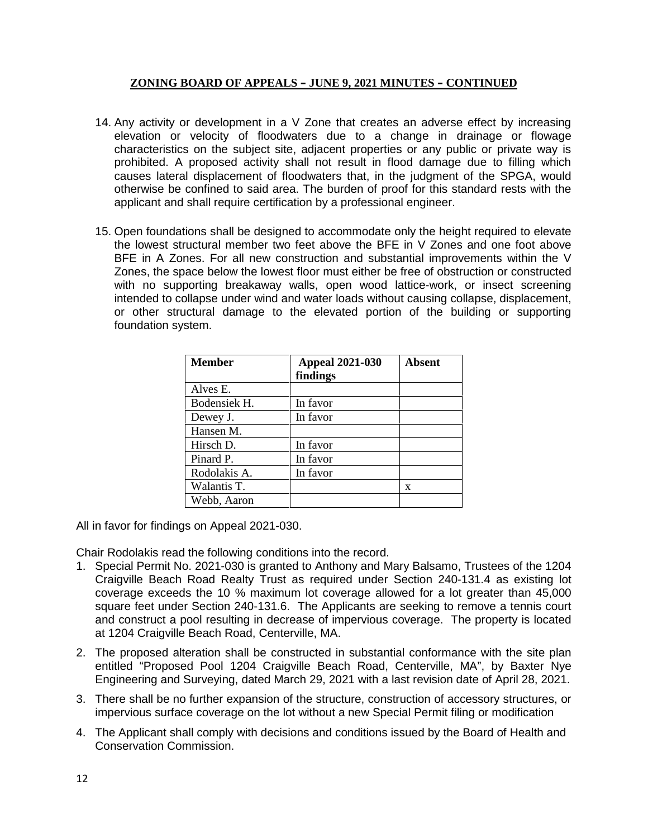- 14. Any activity or development in a V Zone that creates an adverse effect by increasing elevation or velocity of floodwaters due to a change in drainage or flowage characteristics on the subject site, adjacent properties or any public or private way is prohibited. A proposed activity shall not result in flood damage due to filling which causes lateral displacement of floodwaters that, in the judgment of the SPGA, would otherwise be confined to said area. The burden of proof for this standard rests with the applicant and shall require certification by a professional engineer.
- 15. Open foundations shall be designed to accommodate only the height required to elevate the lowest structural member two feet above the BFE in V Zones and one foot above BFE in A Zones. For all new construction and substantial improvements within the V Zones, the space below the lowest floor must either be free of obstruction or constructed with no supporting breakaway walls, open wood lattice-work, or insect screening intended to collapse under wind and water loads without causing collapse, displacement, or other structural damage to the elevated portion of the building or supporting foundation system.

| <b>Member</b> | <b>Appeal 2021-030</b><br>findings | Absent |
|---------------|------------------------------------|--------|
| Alves E.      |                                    |        |
| Bodensiek H.  | In favor                           |        |
| Dewey J.      | In favor                           |        |
| Hansen M.     |                                    |        |
| Hirsch D.     | In favor                           |        |
| Pinard P.     | In favor                           |        |
| Rodolakis A.  | In favor                           |        |
| Walantis T.   |                                    | X      |
| Webb, Aaron   |                                    |        |

All in favor for findings on Appeal 2021-030.

Chair Rodolakis read the following conditions into the record.

- 1. Special Permit No. 2021-030 is granted to Anthony and Mary Balsamo, Trustees of the 1204 Craigville Beach Road Realty Trust as required under Section 240-131.4 as existing lot coverage exceeds the 10 % maximum lot coverage allowed for a lot greater than 45,000 square feet under Section 240-131.6. The Applicants are seeking to remove a tennis court and construct a pool resulting in decrease of impervious coverage. The property is located at 1204 Craigville Beach Road, Centerville, MA.
- 2. The proposed alteration shall be constructed in substantial conformance with the site plan entitled "Proposed Pool 1204 Craigville Beach Road, Centerville, MA", by Baxter Nye Engineering and Surveying, dated March 29, 2021 with a last revision date of April 28, 2021.
- 3. There shall be no further expansion of the structure, construction of accessory structures, or impervious surface coverage on the lot without a new Special Permit filing or modification
- 4. The Applicant shall comply with decisions and conditions issued by the Board of Health and Conservation Commission.